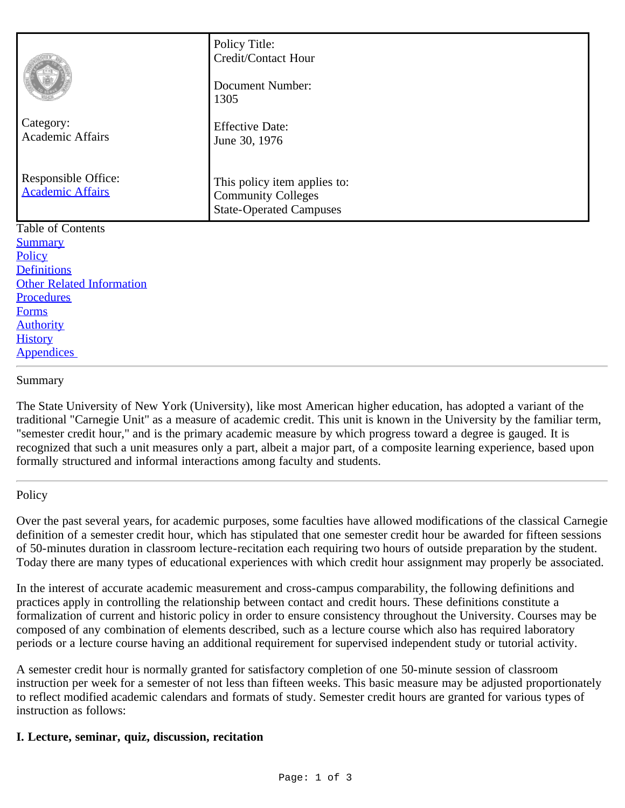|                                                | Policy Title:<br>Credit/Contact Hour<br><b>Document Number:</b>                             |
|------------------------------------------------|---------------------------------------------------------------------------------------------|
| Category:<br><b>Academic Affairs</b>           | 1305<br><b>Effective Date:</b><br>June 30, 1976                                             |
| Responsible Office:<br><b>Academic Affairs</b> | This policy item applies to:<br><b>Community Colleges</b><br><b>State-Operated Campuses</b> |
| Table of Contents                              |                                                                                             |
| <b>Summary</b>                                 |                                                                                             |
| Policy<br><b>Definitions</b>                   |                                                                                             |
| <b>Other Related Information</b>               |                                                                                             |
| Procedures                                     |                                                                                             |
| <b>Forms</b>                                   |                                                                                             |
| <b>Authority</b>                               |                                                                                             |
| <b>History</b>                                 |                                                                                             |

#### <span id="page-0-0"></span>Summary

**Appendices** 

The State University of New York (University), like most American higher education, has adopted a variant of the traditional "Carnegie Unit" as a measure of academic credit. This unit is known in the University by the familiar term, "semester credit hour," and is the primary academic measure by which progress toward a degree is gauged. It is recognized that such a unit measures only a part, albeit a major part, of a composite learning experience, based upon formally structured and informal interactions among faculty and students.

#### <span id="page-0-1"></span>**Policy**

Over the past several years, for academic purposes, some faculties have allowed modifications of the classical Carnegie definition of a semester credit hour, which has stipulated that one semester credit hour be awarded for fifteen sessions of 50-minutes duration in classroom lecture-recitation each requiring two hours of outside preparation by the student. Today there are many types of educational experiences with which credit hour assignment may properly be associated.

In the interest of accurate academic measurement and cross-campus comparability, the following definitions and practices apply in controlling the relationship between contact and credit hours. These definitions constitute a formalization of current and historic policy in order to ensure consistency throughout the University. Courses may be composed of any combination of elements described, such as a lecture course which also has required laboratory periods or a lecture course having an additional requirement for supervised independent study or tutorial activity.

A semester credit hour is normally granted for satisfactory completion of one 50-minute session of classroom instruction per week for a semester of not less than fifteen weeks. This basic measure may be adjusted proportionately to reflect modified academic calendars and formats of study. Semester credit hours are granted for various types of instruction as follows:

### **I. Lecture, seminar, quiz, discussion, recitation**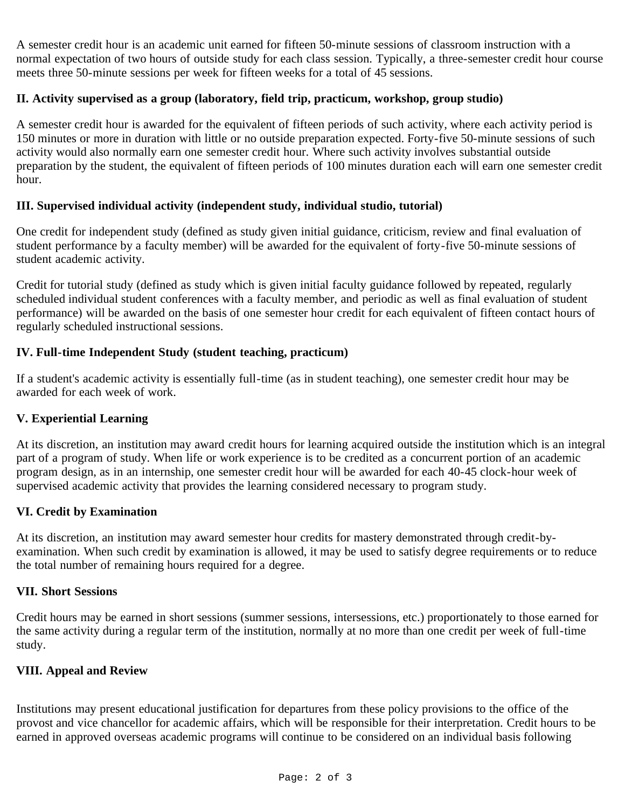A semester credit hour is an academic unit earned for fifteen 50-minute sessions of classroom instruction with a normal expectation of two hours of outside study for each class session. Typically, a three-semester credit hour course meets three 50-minute sessions per week for fifteen weeks for a total of 45 sessions.

# **II. Activity supervised as a group (laboratory, field trip, practicum, workshop, group studio)**

A semester credit hour is awarded for the equivalent of fifteen periods of such activity, where each activity period is 150 minutes or more in duration with little or no outside preparation expected. Forty-five 50-minute sessions of such activity would also normally earn one semester credit hour. Where such activity involves substantial outside preparation by the student, the equivalent of fifteen periods of 100 minutes duration each will earn one semester credit hour.

## **III. Supervised individual activity (independent study, individual studio, tutorial)**

One credit for independent study (defined as study given initial guidance, criticism, review and final evaluation of student performance by a faculty member) will be awarded for the equivalent of forty-five 50-minute sessions of student academic activity.

Credit for tutorial study (defined as study which is given initial faculty guidance followed by repeated, regularly scheduled individual student conferences with a faculty member, and periodic as well as final evaluation of student performance) will be awarded on the basis of one semester hour credit for each equivalent of fifteen contact hours of regularly scheduled instructional sessions.

### **IV. Full-time Independent Study (student teaching, practicum)**

If a student's academic activity is essentially full-time (as in student teaching), one semester credit hour may be awarded for each week of work.

### **V. Experiential Learning**

At its discretion, an institution may award credit hours for learning acquired outside the institution which is an integral part of a program of study. When life or work experience is to be credited as a concurrent portion of an academic program design, as in an internship, one semester credit hour will be awarded for each 40-45 clock-hour week of supervised academic activity that provides the learning considered necessary to program study.

### **VI. Credit by Examination**

At its discretion, an institution may award semester hour credits for mastery demonstrated through credit-byexamination. When such credit by examination is allowed, it may be used to satisfy degree requirements or to reduce the total number of remaining hours required for a degree.

# **VII. Short Sessions**

Credit hours may be earned in short sessions (summer sessions, intersessions, etc.) proportionately to those earned for the same activity during a regular term of the institution, normally at no more than one credit per week of full-time study.

## **VIII. Appeal and Review**

Institutions may present educational justification for departures from these policy provisions to the office of the provost and vice chancellor for academic affairs, which will be responsible for their interpretation. Credit hours to be earned in approved overseas academic programs will continue to be considered on an individual basis following